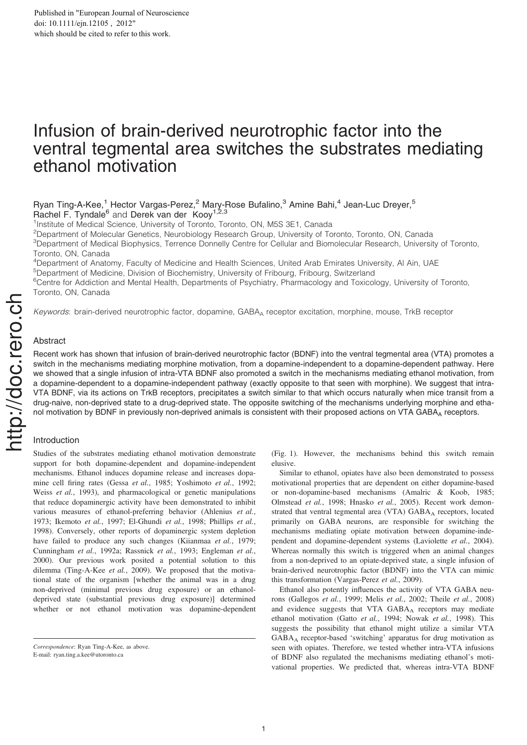# Infusion of brain-derived neurotrophic factor into the ventral tegmental area switches the substrates mediating ethanol motivation

# Ryan Ting-A-Kee,<sup>1</sup> Hector Vargas-Perez,<sup>2</sup> Mary-Rose Bufalino,<sup>3</sup> Amine Bahi,<sup>4</sup> Jean-Luc Dreyer,<sup>5</sup> Rachel F. Tyndale<sup>6</sup> and Derek van der Kooy<sup>1,2,3</sup>

<sup>1</sup>Institute of Medical Science, University of Toronto, Toronto, ON, M5S 3E1, Canada

<sup>2</sup>Department of Molecular Genetics, Neurobiology Research Group, University of Toronto, Toronto, ON, Canada

<sup>3</sup>Department of Medical Biophysics, Terrence Donnelly Centre for Cellular and Biomolecular Research, University of Toronto, Toronto, ON, Canada

<sup>4</sup>Department of Anatomy, Faculty of Medicine and Health Sciences, United Arab Emirates University, Al Ain, UAE

<sup>5</sup>Department of Medicine, Division of Biochemistry, University of Fribourg, Fribourg, Switzerland

<sup>6</sup>Centre for Addiction and Mental Health, Departments of Psychiatry, Pharmacology and Toxicology, University of Toronto, Toronto, ON, Canada

Keywords: brain-derived neurotrophic factor, dopamine, GABA<sub>A</sub> receptor excitation, morphine, mouse, TrkB receptor

# Abstract

Recent work has shown that infusion of brain-derived neurotrophic factor (BDNF) into the ventral tegmental area (VTA) promotes a switch in the mechanisms mediating morphine motivation, from a dopamine-independent to a dopamine-dependent pathway. Here we showed that a single infusion of intra-VTA BDNF also promoted a switch in the mechanisms mediating ethanol motivation, from a dopamine-dependent to a dopamine-independent pathway (exactly opposite to that seen with morphine). We suggest that intra-VTA BDNF, via its actions on TrkB receptors, precipitates a switch similar to that which occurs naturally when mice transit from a drug-naive, non-deprived state to a drug-deprived state. The opposite switching of the mechanisms underlying morphine and ethanol motivation by BDNF in previously non-deprived animals is consistent with their proposed actions on VTA GABA $_A$  receptors.

# Introduction

Studies of the substrates mediating ethanol motivation demonstrate support for both dopamine-dependent and dopamine-independent mechanisms. Ethanol induces dopamine release and increases dopamine cell firing rates (Gessa et al., 1985; Yoshimoto et al., 1992; Weiss et al., 1993), and pharmacological or genetic manipulations that reduce dopaminergic activity have been demonstrated to inhibit various measures of ethanol-preferring behavior (Ahlenius et al., 1973; Ikemoto et al., 1997; El-Ghundi et al., 1998; Phillips et al., 1998). Conversely, other reports of dopaminergic system depletion have failed to produce any such changes (Kiianmaa et al., 1979; Cunningham et al., 1992a; Rassnick et al., 1993; Engleman et al., 2000). Our previous work posited a potential solution to this dilemma (Ting-A-Kee et al., 2009). We proposed that the motivational state of the organism [whether the animal was in a drug non-deprived (minimal previous drug exposure) or an ethanoldeprived state (substantial previous drug exposure)] determined whether or not ethanol motivation was dopamine-dependent (Fig. 1). However, the mechanisms behind this switch remain elusive.

Similar to ethanol, opiates have also been demonstrated to possess motivational properties that are dependent on either dopamine-based or non-dopamine-based mechanisms (Amalric & Koob, 1985; Olmstead et al., 1998; Hnasko et al., 2005). Recent work demonstrated that ventral tegmental area (VTA) GABAA receptors, located primarily on GABA neurons, are responsible for switching the mechanisms mediating opiate motivation between dopamine-independent and dopamine-dependent systems (Laviolette et al., 2004). Whereas normally this switch is triggered when an animal changes from a non-deprived to an opiate-deprived state, a single infusion of brain-derived neurotrophic factor (BDNF) into the VTA can mimic this transformation (Vargas-Perez et al., 2009).

Ethanol also potently influences the activity of VTA GABA neurons (Gallegos et al., 1999; Melis et al., 2002; Theile et al., 2008) and evidence suggests that VTA GABAA receptors may mediate ethanol motivation (Gatto et al., 1994; Nowak et al., 1998). This suggests the possibility that ethanol might utilize a similar VTA GABA<sup>A</sup> receptor-based 'switching' apparatus for drug motivation as seen with opiates. Therefore, we tested whether intra-VTA infusions of BDNF also regulated the mechanisms mediating ethanol's motivational properties. We predicted that, whereas intra-VTA BDNF

Correspondence: Ryan Ting-A-Kee, as above. E-mail: ryan.ting.a.kee@utoronto.ca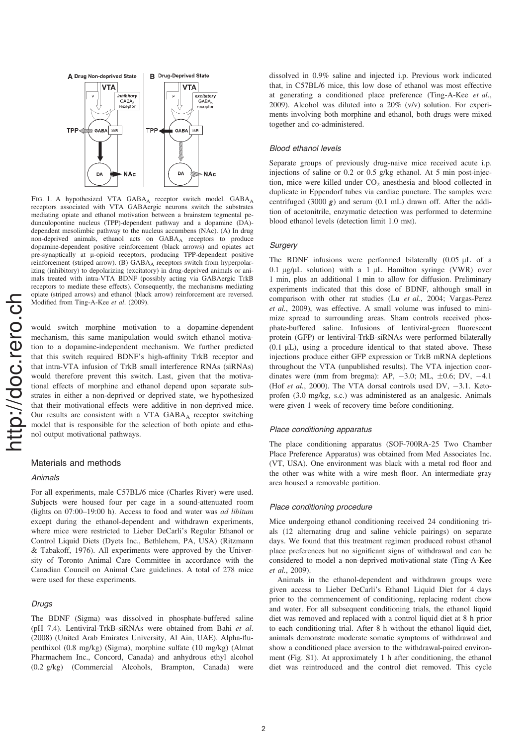

FIG. 1. A hypothesized VTA GABA<sub>A</sub> receptor switch model. GABA<sub>A</sub> receptors associated with VTA GABAergic neurons switch the substrates mediating opiate and ethanol motivation between a brainstem tegmental pedunculopontine nucleus (TPP)-dependent pathway and a dopamine (DA) dependent mesolimbic pathway to the nucleus accumbens (NAc). (A) In drug non-deprived animals, ethanol acts on GABA<sub>A</sub> receptors to produce dopamine-dependent positive reinforcement (black arrows) and opiates act pre-synaptically at  $\mu$ -opioid receptors, producing TPP-dependent positive reinforcement (striped arrow). (B) GABA<sub>A</sub> receptors switch from hyperpolarizing (inhibitory) to depolarizing (excitatory) in drug-deprived animals or animals treated with intra-VTA BDNF (possibly acting via GABAergic TrkB receptors to mediate these effects). Consequently, the mechanisms mediating opiate (striped arrows) and ethanol (black arrow) reinforcement are reversed. Modified from Ting-A-Kee et al. (2009).

would switch morphine motivation to a dopamine-dependent mechanism, this same manipulation would switch ethanol motivation to a dopamine-independent mechanism. We further predicted that this switch required BDNF's high-affinity TrkB receptor and that intra-VTA infusion of TrkB small interference RNAs (siRNAs) would therefore prevent this switch. Last, given that the motivational effects of morphine and ethanol depend upon separate substrates in either a non-deprived or deprived state, we hypothesized that their motivational effects were additive in non-deprived mice. Our results are consistent with a VTA GABA<sub>A</sub> receptor switching model that is responsible for the selection of both opiate and ethanol output motivational pathways.

# Materials and methods

#### Animals

For all experiments, male C57BL/6 mice (Charles River) were used. Subjects were housed four per cage in a sound-attenuated room (lights on 07:00–19:00 h). Access to food and water was ad libitum except during the ethanol-dependent and withdrawn experiments, where mice were restricted to Lieber DeCarli's Regular Ethanol or Control Liquid Diets (Dyets Inc., Bethlehem, PA, USA) (Ritzmann & Tabakoff, 1976). All experiments were approved by the University of Toronto Animal Care Committee in accordance with the Canadian Council on Animal Care guidelines. A total of 278 mice were used for these experiments.

# Drugs

The BDNF (Sigma) was dissolved in phosphate-buffered saline (pH 7.4). Lentiviral-TrkB-siRNAs were obtained from Bahi et al. (2008) (United Arab Emirates University, Al Ain, UAE). Alpha-flupenthixol (0.8 mg/kg) (Sigma), morphine sulfate (10 mg/kg) (Almat Pharmachem Inc., Concord, Canada) and anhydrous ethyl alcohol (0.2 g/kg) (Commercial Alcohols, Brampton, Canada) were dissolved in 0.9% saline and injected i.p. Previous work indicated that, in C57BL/6 mice, this low dose of ethanol was most effective at generating a conditioned place preference (Ting-A-Kee et al., 2009). Alcohol was diluted into a 20% (v/v) solution. For experiments involving both morphine and ethanol, both drugs were mixed together and co-administered.

#### Blood ethanol levels

Separate groups of previously drug-naive mice received acute i.p. injections of saline or 0.2 or 0.5 g/kg ethanol. At 5 min post-injection, mice were killed under  $CO<sub>2</sub>$  anesthesia and blood collected in duplicate in Eppendorf tubes via cardiac puncture. The samples were centrifuged (3000  $g$ ) and serum (0.1 mL) drawn off. After the addition of acetonitrile, enzymatic detection was performed to determine blood ethanol levels (detection limit 1.0 mm).

# **Surgery**

The BDNF infusions were performed bilaterally  $(0.05 \mu L)$  of a 0.1  $\mu$ g/ $\mu$ L solution) with a 1  $\mu$ L Hamilton syringe (VWR) over 1 min, plus an additional 1 min to allow for diffusion. Preliminary experiments indicated that this dose of BDNF, although small in comparison with other rat studies (Lu et al., 2004; Vargas-Perez et al., 2009), was effective. A small volume was infused to minimize spread to surrounding areas. Sham controls received phosphate-buffered saline. Infusions of lentiviral-green fluorescent protein (GFP) or lentiviral-TrkB-siRNAs were performed bilaterally  $(0.1 \mu L)$ , using a procedure identical to that stated above. These injections produce either GFP expression or TrkB mRNA depletions throughout the VTA (unpublished results). The VTA injection coordinates were (mm from bregma): AP,  $-3.0$ ; ML,  $\pm 0.6$ ; DV,  $-4.1$ (Hof et al., 2000). The VTA dorsal controls used DV,  $-3.1$ . Ketoprofen (3.0 mg/kg, s.c.) was administered as an analgesic. Animals were given 1 week of recovery time before conditioning.

#### Place conditioning apparatus

The place conditioning apparatus (SOF-700RA-25 Two Chamber Place Preference Apparatus) was obtained from Med Associates Inc. (VT, USA). One environment was black with a metal rod floor and the other was white with a wire mesh floor. An intermediate gray area housed a removable partition.

#### Place conditioning procedure

Mice undergoing ethanol conditioning received 24 conditioning trials (12 alternating drug and saline vehicle pairings) on separate days. We found that this treatment regimen produced robust ethanol place preferences but no significant signs of withdrawal and can be considered to model a non-deprived motivational state (Ting-A-Kee et al., 2009).

Animals in the ethanol-dependent and withdrawn groups were given access to Lieber DeCarli's Ethanol Liquid Diet for 4 days prior to the commencement of conditioning, replacing rodent chow and water. For all subsequent conditioning trials, the ethanol liquid diet was removed and replaced with a control liquid diet at 8 h prior to each conditioning trial. After 8 h without the ethanol liquid diet, animals demonstrate moderate somatic symptoms of withdrawal and show a conditioned place aversion to the withdrawal-paired environment (Fig. S1). At approximately 1 h after conditioning, the ethanol diet was reintroduced and the control diet removed. This cycle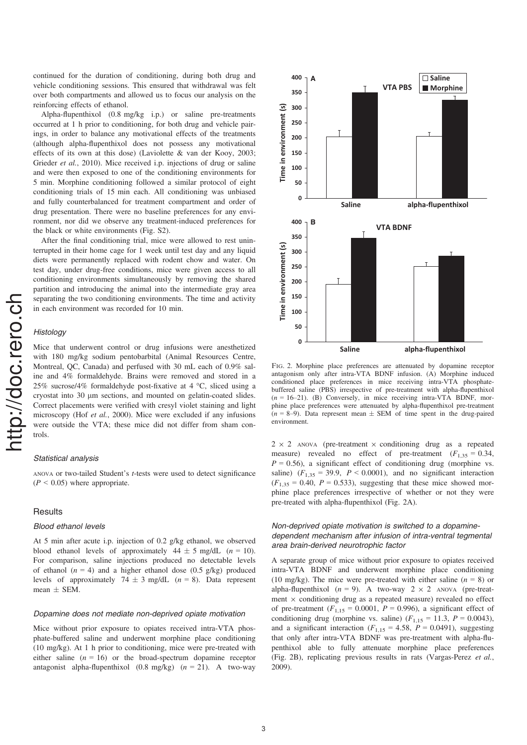continued for the duration of conditioning, during both drug and vehicle conditioning sessions. This ensured that withdrawal was felt over both compartments and allowed us to focus our analysis on the reinforcing effects of ethanol.

Alpha-flupenthixol (0.8 mg/kg i.p.) or saline pre-treatments occurred at 1 h prior to conditioning, for both drug and vehicle pairings, in order to balance any motivational effects of the treatments (although alpha-flupenthixol does not possess any motivational effects of its own at this dose) (Laviolette & van der Kooy, 2003; Grieder et al., 2010). Mice received i.p. injections of drug or saline and were then exposed to one of the conditioning environments for 5 min. Morphine conditioning followed a similar protocol of eight conditioning trials of 15 min each. All conditioning was unbiased and fully counterbalanced for treatment compartment and order of drug presentation. There were no baseline preferences for any environment, nor did we observe any treatment-induced preferences for the black or white environments (Fig. S2).

After the final conditioning trial, mice were allowed to rest uninterrupted in their home cage for 1 week until test day and any liquid diets were permanently replaced with rodent chow and water. On test day, under drug-free conditions, mice were given access to all conditioning environments simultaneously by removing the shared partition and introducing the animal into the intermediate gray area separating the two conditioning environments. The time and activity in each environment was recorded for 10 min.

# **Histology**

Mice that underwent control or drug infusions were anesthetized with 180 mg/kg sodium pentobarbital (Animal Resources Centre, Montreal, QC, Canada) and perfused with 30 mL each of 0.9% saline and 4% formaldehyde. Brains were removed and stored in a 25% sucrose/4% formaldehyde post-fixative at 4 °C, sliced using a cryostat into 30  $\mu$ m sections, and mounted on gelatin-coated slides. Correct placements were verified with cresyl violet staining and light microscopy (Hof et al., 2000). Mice were excluded if any infusions were outside the VTA; these mice did not differ from sham controls.

#### Statistical analysis

ANOVA or two-tailed Student's t-tests were used to detect significance  $(P < 0.05)$  where appropriate.

# **Results**

#### Blood ethanol levels

At 5 min after acute i.p. injection of 0.2 g/kg ethanol, we observed blood ethanol levels of approximately  $44 \pm 5$  mg/dL (n = 10). For comparison, saline injections produced no detectable levels of ethanol ( $n = 4$ ) and a higher ethanol dose (0.5 g/kg) produced levels of approximately  $74 \pm 3$  mg/dL (n = 8). Data represent mean  $\pm$  SEM.

#### Dopamine does not mediate non-deprived opiate motivation

Mice without prior exposure to opiates received intra-VTA phosphate-buffered saline and underwent morphine place conditioning (10 mg/kg). At 1 h prior to conditioning, mice were pre-treated with either saline  $(n = 16)$  or the broad-spectrum dopamine receptor antagonist alpha-flupenthixol  $(0.8 \text{ mg/kg})$   $(n = 21)$ . A two-way



Fig. 2. Morphine place preferences are attenuated by dopamine receptor antagonism only after intra-VTA BDNF infusion. (A) Morphine induced conditioned place preferences in mice receiving intra-VTA phosphatebuffered saline (PBS) irrespective of pre-treatment with alpha-flupenthixol  $(n = 16-21)$ . (B) Conversely, in mice receiving intra-VTA BDNF, morphine place preferences were attenuated by alpha-flupenthixol pre-treatment  $(n = 8-9)$ . Data represent mean  $\pm$  SEM of time spent in the drug-paired environment.

 $2 \times 2$  ANOVA (pre-treatment  $\times$  conditioning drug as a repeated measure) revealed no effect of pre-treatment  $(F_{1,35} = 0.34,$  $P = 0.56$ ), a significant effect of conditioning drug (morphine vs. saline)  $(F_{1,35} = 39.9, P \le 0.0001)$ , and no significant interaction  $(F<sub>1,35</sub> = 0.40, P = 0.533)$ , suggesting that these mice showed morphine place preferences irrespective of whether or not they were pre-treated with alpha-flupenthixol (Fig. 2A).

# Non-deprived opiate motivation is switched to a dopaminedependent mechanism after infusion of intra-ventral tegmental area brain-derived neurotrophic factor

A separate group of mice without prior exposure to opiates received intra-VTA BDNF and underwent morphine place conditioning (10 mg/kg). The mice were pre-treated with either saline ( $n = 8$ ) or alpha-flupenthixol ( $n = 9$ ). A two-way  $2 \times 2$  ANOVA (pre-treatment  $\times$  conditioning drug as a repeated measure) revealed no effect of pre-treatment  $(F_{1,15} = 0.0001, P = 0.996)$ , a significant effect of conditioning drug (morphine vs. saline)  $(F_{1,15} = 11.3, P = 0.0043)$ , and a significant interaction  $(F_{1,15} = 4.58, P = 0.0491)$ , suggesting that only after intra-VTA BDNF was pre-treatment with alpha-flupenthixol able to fully attenuate morphine place preferences (Fig. 2B), replicating previous results in rats (Vargas-Perez et al., 2009).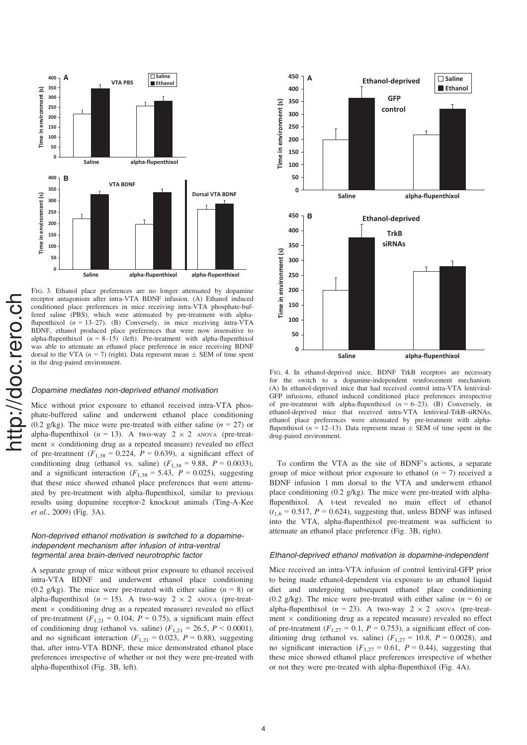

nttp://doc.rero.ch http://doc.rero.ch

Fig. 3. Ethanol place preferences are no longer attenuated by dopamine receptor antagonism after intra-VTA BDNF infusion. (A) Ethanol induced conditioned place preferences in mice receiving intra-VTA phosphate-buffered saline (PBS), which were attenuated by pre-treatment with alphaflupenthixol  $(n = 13-27)$ . (B) Conversely, in mice receiving intra- $\hat{V}TA$ BDNF, ethanol produced place preferences that were now insensitive to alpha-flupenthixol  $(n = 8-15)$  (left). Pre-treatment with alpha-flupenthixol was able to attenuate an ethanol place preference in mice receiving BDNF dorsal to the VTA ( $n = 7$ ) (right). Data represent mean  $\pm$  SEM of time spent in the drug-paired environment.

# Dopamine mediates non-deprived ethanol motivation

Mice without prior exposure to ethanol received intra-VTA phosphate-buffered saline and underwent ethanol place conditioning (0.2 g/kg). The mice were pre-treated with either saline ( $n = 27$ ) or alpha-flupenthixol ( $n = 13$ ). A two-way  $2 \times 2$  ANOVA (pre-treatment  $\times$  conditioning drug as a repeated measure) revealed no effect of pre-treatment  $(F_{1,38} = 0.224, P = 0.639)$ , a significant effect of conditioning drug (ethanol vs. saline)  $(F_{1,38} = 9.88, P = 0.0033)$ , and a significant interaction ( $F_{1,38} = 5.43$ ,  $P = 0.025$ ), suggesting that these mice showed ethanol place preferences that were attenuated by pre-treatment with alpha-flupenthixol, similar to previous results using dopamine receptor-2 knockout animals (Ting-A-Kee et al., 2009) (Fig. 3A).

# Non-deprived ethanol motivation is switched to a dopamineindependent mechanism after infusion of intra-ventral tegmental area brain-derived neurotrophic factor

A separate group of mice without prior exposure to ethanol received intra-VTA BDNF and underwent ethanol place conditioning (0.2 g/kg). The mice were pre-treated with either saline ( $n = 8$ ) or alpha-flupenthixol ( $n = 15$ ). A two-way  $2 \times 2$  ANOVA (pre-treatment  $\times$  conditioning drug as a repeated measure) revealed no effect of pre-treatment  $(F_{1,21} = 0.104, P = 0.75)$ , a significant main effect of conditioning drug (ethanol vs. saline)  $(F_{1,21} = 26.5, P \le 0.0001)$ , and no significant interaction ( $F_{1,21} = 0.023$ ,  $P = 0.88$ ), suggesting that, after intra-VTA BDNF, these mice demonstrated ethanol place preferences irrespective of whether or not they were pre-treated with alpha-flupenthixol (Fig. 3B, left).



Fig. 4. In ethanol-deprived mice, BDNF TrkB receptors are necessary for the switch to a dopamine-independent reinforcement mechanism. (A) In ethanol-deprived mice that had received control intra-VTA lentiviral-GFP infusions, ethanol induced conditioned place preferences irrespective of pre-treatment with alpha-flupenthixol  $(n = 6-23)$ . (B) Conversely, in ethanol-deprived mice that received intra-VTA lentiviral-TrkB-siRNAs, ethanol place preferences were attenuated by pre-treatment with alphaflupenthixol ( $n = 12-13$ ). Data represent mean  $\pm$  SEM of time spent in the drug-paired environment.

To confirm the VTA as the site of BDNF's actions, a separate group of mice without prior exposure to ethanol  $(n = 7)$  received a BDNF infusion 1 mm dorsal to the VTA and underwent ethanol place conditioning (0.2 g/kg). The mice were pre-treated with alphaflupenthixol. A t-test revealed no main effect of ethanol  $(t_{1,6} = 0.517, P = 0.624)$ , suggesting that, unless BDNF was infused into the VTA, alpha-flupenthixol pre-treatment was sufficient to attenuate an ethanol place preference (Fig. 3B, right).

#### Ethanol-deprived ethanol motivation is dopamine-independent

Mice received an intra-VTA infusion of control lentiviral-GFP prior to being made ethanol-dependent via exposure to an ethanol liquid diet and undergoing subsequent ethanol place conditioning (0.2 g/kg). The mice were pre-treated with either saline ( $n = 6$ ) or alpha-flupenthixol ( $n = 23$ ). A two-way  $2 \times 2$  ANOVA (pre-treatment  $\times$  conditioning drug as a repeated measure) revealed no effect of pre-treatment ( $F_{1,27} = 0.1$ ,  $P = 0.753$ ), a significant effect of conditioning drug (ethanol vs. saline)  $(F_{1,27} = 10.8, P = 0.0028)$ , and no significant interaction  $(F_{1,27} = 0.61, P = 0.44)$ , suggesting that these mice showed ethanol place preferences irrespective of whether or not they were pre-treated with alpha-flupenthixol (Fig. 4A).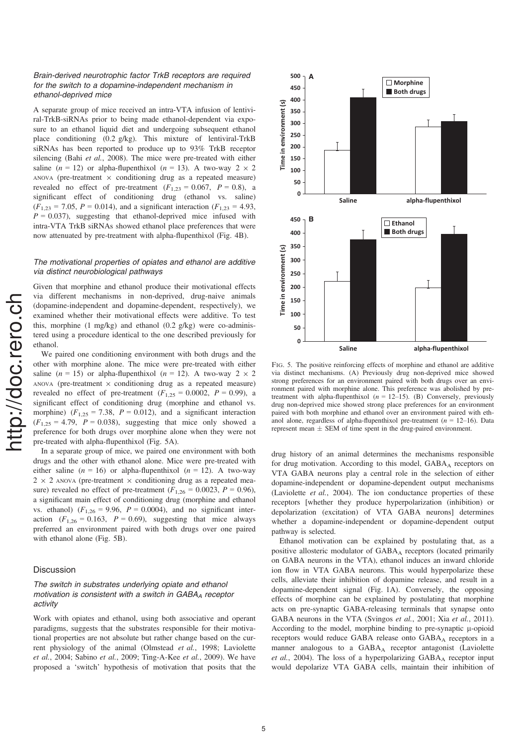# Brain-derived neurotrophic factor TrkB receptors are required for the switch to a dopamine-independent mechanism in ethanol-deprived mice

A separate group of mice received an intra-VTA infusion of lentiviral-TrkB-siRNAs prior to being made ethanol-dependent via exposure to an ethanol liquid diet and undergoing subsequent ethanol place conditioning (0.2 g/kg). This mixture of lentiviral-TrkB siRNAs has been reported to produce up to 93% TrkB receptor silencing (Bahi et al., 2008). The mice were pre-treated with either saline (n = 12) or alpha-flupenthixol (n = 13). A two-way  $2 \times 2$ ANOVA (pre-treatment  $\times$  conditioning drug as a repeated measure) revealed no effect of pre-treatment  $(F_{1,23} = 0.067, P = 0.8)$ , a significant effect of conditioning drug (ethanol vs. saline)  $(F_{1,23} = 7.05, P = 0.014)$ , and a significant interaction  $(F_{1,23} = 4.93,$  $P = 0.037$ ), suggesting that ethanol-deprived mice infused with intra-VTA TrkB siRNAs showed ethanol place preferences that were now attenuated by pre-treatment with alpha-flupenthixol (Fig. 4B).

# The motivational properties of opiates and ethanol are additive via distinct neurobiological pathways

Given that morphine and ethanol produce their motivational effects via different mechanisms in non-deprived, drug-naive animals (dopamine-independent and dopamine-dependent, respectively), we examined whether their motivational effects were additive. To test this, morphine  $(1 \text{ mg/kg})$  and ethanol  $(0.2 \text{ g/kg})$  were co-administered using a procedure identical to the one described previously for ethanol.

We paired one conditioning environment with both drugs and the other with morphine alone. The mice were pre-treated with either saline ( $n = 15$ ) or alpha-flupenthixol ( $n = 12$ ). A two-way  $2 \times 2$ ANOVA (pre-treatment  $\times$  conditioning drug as a repeated measure) revealed no effect of pre-treatment  $(F_{1,25} = 0.0002, P = 0.99)$ , a significant effect of conditioning drug (morphine and ethanol vs. morphine)  $(F_{1,25} = 7.38, P = 0.012)$ , and a significant interaction  $(F_{1,25} = 4.79, P = 0.038)$ , suggesting that mice only showed a preference for both drugs over morphine alone when they were not pre-treated with alpha-flupenthixol (Fig. 5A).

In a separate group of mice, we paired one environment with both drugs and the other with ethanol alone. Mice were pre-treated with either saline ( $n = 16$ ) or alpha-flupenthixol ( $n = 12$ ). A two-way  $2 \times 2$  ANOVA (pre-treatment  $\times$  conditioning drug as a repeated measure) revealed no effect of pre-treatment ( $F_{1,26} = 0.0023$ ,  $P = 0.96$ ), a significant main effect of conditioning drug (morphine and ethanol vs. ethanol)  $(F_{1,26} = 9.96, P = 0.0004)$ , and no significant interaction  $(F_{1,26} = 0.163, P = 0.69)$ , suggesting that mice always preferred an environment paired with both drugs over one paired with ethanol alone (Fig. 5B).

#### Discussion

# The switch in substrates underlying opiate and ethanol motivation is consistent with a switch in  $GABA_A$  receptor activity

Work with opiates and ethanol, using both associative and operant paradigms, suggests that the substrates responsible for their motivational properties are not absolute but rather change based on the current physiology of the animal (Olmstead et al., 1998; Laviolette et al., 2004; Sabino et al., 2009; Ting-A-Kee et al., 2009). We have proposed a 'switch' hypothesis of motivation that posits that the



Fig. 5. The positive reinforcing effects of morphine and ethanol are additive via distinct mechanisms. (A) Previously drug non-deprived mice showed strong preferences for an environment paired with both drugs over an environment paired with morphine alone. This preference was abolished by pretreatment with alpha-flupenthixol  $(n = 12-15)$ . (B) Conversely, previously drug non-deprived mice showed strong place preferences for an environment paired with both morphine and ethanol over an environment paired with ethanol alone, regardless of alpha-flupenthixol pre-treatment ( $n = 12-16$ ). Data represent mean  $\pm$  SEM of time spent in the drug-paired environment.

drug history of an animal determines the mechanisms responsible for drug motivation. According to this model, GABAA receptors on VTA GABA neurons play a central role in the selection of either dopamine-independent or dopamine-dependent output mechanisms (Laviolette et al., 2004). The ion conductance properties of these receptors [whether they produce hyperpolarization (inhibition) or depolarization (excitation) of VTA GABA neurons] determines whether a dopamine-independent or dopamine-dependent output pathway is selected.

Ethanol motivation can be explained by postulating that, as a positive allosteric modulator of GABA<sub>A</sub> receptors (located primarily on GABA neurons in the VTA), ethanol induces an inward chloride ion flow in VTA GABA neurons. This would hyperpolarize these cells, alleviate their inhibition of dopamine release, and result in a dopamine-dependent signal (Fig. 1A). Conversely, the opposing effects of morphine can be explained by postulating that morphine acts on pre-synaptic GABA-releasing terminals that synapse onto GABA neurons in the VTA (Svingos et al., 2001; Xia et al., 2011). According to the model, morphine binding to pre-synaptic  $\mu$ -opioid receptors would reduce GABA release onto GABA<sub>A</sub> receptors in a manner analogous to a  $GABA_A$  receptor antagonist (Laviolette et al., 2004). The loss of a hyperpolarizing  $GABA_A$  receptor input would depolarize VTA GABA cells, maintain their inhibition of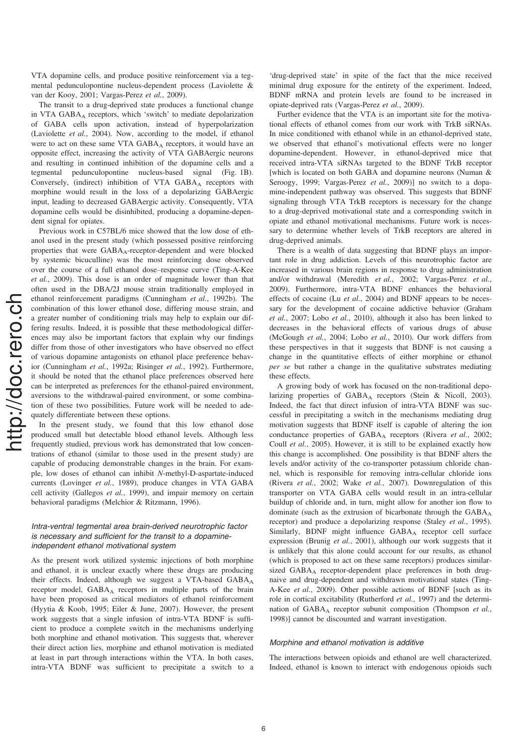VTA dopamine cells, and produce positive reinforcement via a tegmental pedunculopontine nucleus-dependent process (Laviolette & van der Kooy, 2001; Vargas-Perez et al., 2009).

The transit to a drug-deprived state produces a functional change in VTA GABAA receptors, which 'switch' to mediate depolarization of GABA cells upon activation, instead of hyperpolarization (Laviolette et al., 2004). Now, according to the model, if ethanol were to act on these same VTA GABA<sub>A</sub> receptors, it would have an opposite effect, increasing the activity of VTA GABAergic neurons and resulting in continued inhibition of the dopamine cells and a tegmental pedunculopontine nucleus-based signal (Fig. 1B). Conversely, (indirect) inhibition of VTA GABA<sub>A</sub> receptors with morphine would result in the loss of a depolarizing GABAergic input, leading to decreased GABAergic activity. Consequently, VTA dopamine cells would be disinhibited, producing a dopamine-dependent signal for opiates.

Previous work in C57BL/6 mice showed that the low dose of ethanol used in the present study (which possessed positive reinforcing properties that were GABA<sub>A</sub>-receptor-dependent and were blocked by systemic bicuculline) was the most reinforcing dose observed over the course of a full ethanol dose–response curve (Ting-A-Kee et al., 2009). This dose is an order of magnitude lower than that often used in the DBA/2J mouse strain traditionally employed in ethanol reinforcement paradigms (Cunningham et al., 1992b). The combination of this lower ethanol dose, differing mouse strain, and a greater number of conditioning trials may help to explain our differing results. Indeed, it is possible that these methodological differences may also be important factors that explain why our findings differ from those of other investigators who have observed no effect of various dopamine antagonists on ethanol place preference behavior (Cunningham et al., 1992a; Risinger et al., 1992). Furthermore, it should be noted that the ethanol place preferences observed here can be interpreted as preferences for the ethanol-paired environment, aversions to the withdrawal-paired environment, or some combination of these two possibilities. Future work will be needed to adequately differentiate between these options.

In the present study, we found that this low ethanol dose produced small but detectable blood ethanol levels. Although less frequently studied, previous work has demonstrated that low concentrations of ethanol (similar to those used in the present study) are capable of producing demonstrable changes in the brain. For example, low doses of ethanol can inhibit N-methyl-D-aspartate-induced currents (Lovinger et al., 1989), produce changes in VTA GABA cell activity (Gallegos et al., 1999), and impair memory on certain behavioral paradigms (Melchior & Ritzmann, 1996).

# Intra-ventral tegmental area brain-derived neurotrophic factor is necessary and sufficient for the transit to a dopamineindependent ethanol motivational system

As the present work utilized systemic injections of both morphine and ethanol, it is unclear exactly where these drugs are producing their effects. Indeed, although we suggest a VTA-based GABAA receptor model, GABAA receptors in multiple parts of the brain have been proposed as critical mediators of ethanol reinforcement (Hyytia & Koob, 1995; Eiler & June, 2007). However, the present work suggests that a single infusion of intra-VTA BDNF is sufficient to produce a complete switch in the mechanisms underlying both morphine and ethanol motivation. This suggests that, wherever their direct action lies, morphine and ethanol motivation is mediated at least in part through interactions within the VTA. In both cases, intra-VTA BDNF was sufficient to precipitate a switch to a 'drug-deprived state' in spite of the fact that the mice received minimal drug exposure for the entirety of the experiment. Indeed, BDNF mRNA and protein levels are found to be increased in opiate-deprived rats (Vargas-Perez et al., 2009).

Further evidence that the VTA is an important site for the motivational effects of ethanol comes from our work with TrkB siRNAs. In mice conditioned with ethanol while in an ethanol-deprived state, we observed that ethanol's motivational effects were no longer dopamine-dependent. However, in ethanol-deprived mice that received intra-VTA siRNAs targeted to the BDNF TrkB receptor [which is located on both GABA and dopamine neurons (Numan & Seroogy, 1999; Vargas-Perez et al., 2009)] no switch to a dopamine-independent pathway was observed. This suggests that BDNF signaling through VTA TrkB receptors is necessary for the change to a drug-deprived motivational state and a corresponding switch in opiate and ethanol motivational mechanisms. Future work is necessary to determine whether levels of TrkB receptors are altered in drug-deprived animals.

There is a wealth of data suggesting that BDNF plays an important role in drug addiction. Levels of this neurotrophic factor are increased in various brain regions in response to drug administration and/or withdrawal (Meredith et al., 2002; Vargas-Perez et al., 2009). Furthermore, intra-VTA BDNF enhances the behavioral effects of cocaine (Lu et al., 2004) and BDNF appears to be necessary for the development of cocaine addictive behavior (Graham et al., 2007; Lobo et al., 2010), although it also has been linked to decreases in the behavioral effects of various drugs of abuse (McGough et al., 2004; Lobo et al., 2010). Our work differs from these perspectives in that it suggests that BDNF is not causing a change in the quantitative effects of either morphine or ethanol per se but rather a change in the qualitative substrates mediating these effects.

A growing body of work has focused on the non-traditional depolarizing properties of GABA<sub>A</sub> receptors (Stein & Nicoll, 2003). Indeed, the fact that direct infusion of intra-VTA BDNF was successful in precipitating a switch in the mechanisms mediating drug motivation suggests that BDNF itself is capable of altering the ion conductance properties of GABA<sub>A</sub> receptors (Rivera et al., 2002; Coull et al., 2005). However, it is still to be explained exactly how this change is accomplished. One possibility is that BDNF alters the levels and/or activity of the co-transporter potassium chloride channel, which is responsible for removing intra-cellular chloride ions (Rivera et al., 2002; Wake et al., 2007). Downregulation of this transporter on VTA GABA cells would result in an intra-cellular buildup of chloride and, in turn, might allow for another ion flow to dominate (such as the extrusion of bicarbonate through the GABA<sub>A</sub> receptor) and produce a depolarizing response (Staley et al., 1995). Similarly, BDNF might influence GABA<sub>A</sub> receptor cell surface expression (Brunig *et al.*, 2001), although our work suggests that it is unlikely that this alone could account for our results, as ethanol (which is proposed to act on these same receptors) produces similarsized GABA<sub>A</sub> receptor-dependent place preferences in both drugnaive and drug-dependent and withdrawn motivational states (Ting-A-Kee et al., 2009). Other possible actions of BDNF [such as its role in cortical excitability (Rutherford et al., 1997) and the determination of  $GABA_A$  receptor subunit composition (Thompson et al., 1998)] cannot be discounted and warrant investigation.

# Morphine and ethanol motivation is additive

The interactions between opioids and ethanol are well characterized. Indeed, ethanol is known to interact with endogenous opioids such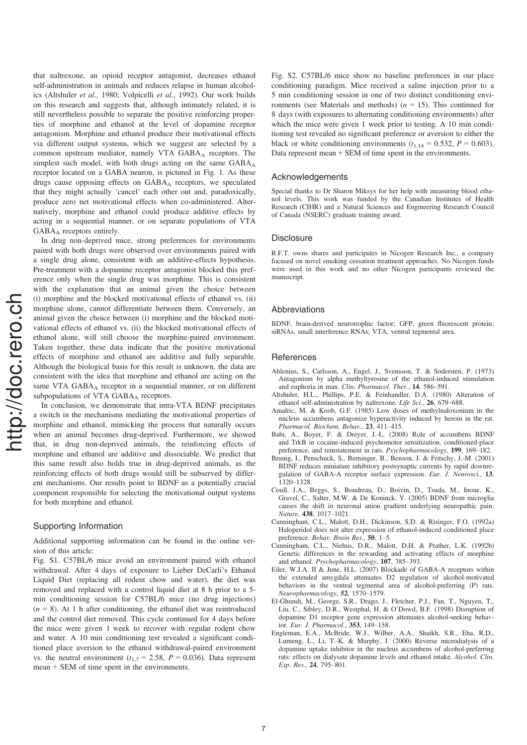that naltrexone, an opioid receptor antagonist, decreases ethanol self-administration in animals and reduces relapse in human alcoholics (Altshuler et al., 1980; Volpicelli et al., 1992). Our work builds on this research and suggests that, although intimately related, it is still nevertheless possible to separate the positive reinforcing properties of morphine and ethanol at the level of dopamine receptor antagonism. Morphine and ethanol produce their motivational effects via different output systems, which we suggest are selected by a common upstream mediator, namely VTA  $GABA_A$  receptors. The simplest such model, with both drugs acting on the same  $GABA_A$ receptor located on a GABA neuron, is pictured in Fig. 1. As these drugs cause opposing effects on GABA<sub>A</sub> receptors, we speculated that they might actually 'cancel' each other out and, paradoxically, produce zero net motivational effects when co-administered. Alternatively, morphine and ethanol could produce additive effects by acting in a sequential manner, or on separate populations of VTA  $GABA_A$  receptors entirely.

In drug non-deprived mice, strong preferences for environments paired with both drugs were observed over environments paired with a single drug alone, consistent with an additive-effects hypothesis. Pre-treatment with a dopamine receptor antagonist blocked this preference only when the single drug was morphine. This is consistent with the explanation that an animal given the choice between (i) morphine and the blocked motivational effects of ethanol vs. (ii) morphine alone, cannot differentiate between them. Conversely, an animal given the choice between (i) morphine and the blocked motivational effects of ethanol vs. (ii) the blocked motivational effects of ethanol alone, will still choose the morphine-paired environment. Taken together, these data indicate that the positive motivational effects of morphine and ethanol are additive and fully separable. Although the biological basis for this result is unknown, the data are consistent with the idea that morphine and ethanol are acting on the same VTA  $GABA_A$  receptor in a sequential manner, or on different subpopulations of VTA  $GABA_A$  receptors.

In conclusion, we demonstrate that intra-VTA BDNF precipitates a switch in the mechanisms mediating the motivational properties of morphine and ethanol, mimicking the process that naturally occurs when an animal becomes drug-deprived. Furthermore, we showed that, in drug non-deprived animals, the reinforcing effects of morphine and ethanol are additive and dissociable. We predict that this same result also holds true in drug-deprived animals, as the reinforcing effects of both drugs would still be subserved by different mechanisms. Our results point to BDNF as a potentially crucial component responsible for selecting the motivational output systems for both morphine and ethanol.

# Supporting Information

Additional supporting information can be found in the online version of this article:

Fig. S1. C57BL/6 mice avoid an environment paired with ethanol withdrawal. After 4 days of exposure to Lieber DeCarli's Ethanol Liquid Diet (replacing all rodent chow and water), the diet was removed and replaced with a control liquid diet at 8 h prior to a 5 min conditioning session for C57BL/6 mice (no drug injections)  $(n = 8)$ . At 1 h after conditioning, the ethanol diet was reintroduced and the control diet removed. This cycle continued for 4 days before the mice were given 1 week to recover with regular rodent chow and water. A 10 min conditioning test revealed a significant conditioned place aversion to the ethanol withdrawal-paired environment vs. the neutral environment ( $t_{1,7} = 2.58$ ,  $P = 0.036$ ). Data represent mean + SEM of time spent in the environments.

Fig. S2. C57BL/6 mice show no baseline preferences in our place conditioning paradigm. Mice received a saline injection prior to a 5 min conditioning session in one of two distinct conditioning environments (see Materials and methods) ( $n = 15$ ). This continued for 8 days (with exposures to alternating conditioning environments) after which the mice were given 1 week prior to testing. A 10 min conditioning test revealed no significant preference or aversion to either the black or white conditioning environments ( $t_{1,14} = 0.532$ ,  $P = 0.603$ ). Data represent mean + SEM of time spent in the environments.

#### Acknowledgements

Special thanks to Dr Sharon Miksys for her help with measuring blood ethanol levels. This work was funded by the Canadian Institutes of Health Research (CIHR) and a Natural Sciences and Engineering Research Council of Canada (NSERC) graduate training award.

#### **Disclosure**

R.F.T. owns shares and participates in Nicogen Research Inc., a company focused on novel smoking cessation treatment approaches. No Nicogen funds were used in this work and no other Nicogen participants reviewed the manuscript.

#### Abbreviations

BDNF, brain-derived neurotrophic factor; GFP, green fluorescent protein; siRNAs, small interference RNAs; VTA, ventral tegmental area.

# **References**

- Ahlenius, S., Carlsson, A., Engel, J., Svensson, T. & Sodersten, P. (1973) Antagonism by alpha methyltyrosine of the ethanol-induced stimulation and euphoria in man. Clin. Pharmacol. Ther., 14, 586–591.
- Altshuler, H.L., Phillips, P.E. & Feinhandler, D.A. (1980) Alteration of ethanol self-administration by naltrexone. Life Sci., 26, 679–688.
- Amalric, M. & Koob, G.F. (1985) Low doses of methylnaloxonium in the nucleus accumbens antagonize hyperactivity induced by heroin in the rat. Pharmacol. Biochem. Behav., 23, 411–415.
- Bahi, A., Boyer, F. & Dreyer, J.-L. (2008) Role of accumbens BDNF and TrkB in cocaine-induced psychomotor sensitization, conditioned-place preference, and reinstatement in rats. Psychopharmacology, 199, 169–182.
- Brunig, I., Penschuck, S., Berninger, B., Benson, J. & Fritschy, J.-M. (2001) BDNF reduces miniature inhibitory postsynaptic currents by rapid downregulation of GABA-A receptor surface expression. Eur. J. Neurosci., 13, 1320–1328.
- Coull, J.A., Beggs, S., Boudreau, D., Boivin, D., Tsuda, M., Inoue, K., Gravel, C., Salter, M.W. & De Koninck, Y. (2005) BDNF from microglia causes the shift in neuronal anion gradient underlying neuropathic pain. Nature, 438, 1017–1021.
- Cunningham, C.L., Malott, D.H., Dickinson, S.D. & Risinger, F.O. (1992a) Haloperidol does not alter expression of ethanol-induced conditioned place preference. Behav. Brain Res., 50, 1–5.
- Cunningham, C.L., Niehus, D.R., Malott, D.H. & Prather, L.K. (1992b) Genetic differences in the rewarding and activating effects of morphine and ethanol. Psychopharmacology, 107, 385–393.
- Eiler, W.J.A. II & June, H.L. (2007) Blockade of GABA-A receptors within the extended amygdala attenuates D2 regulation of alcohol-motivated behaviors in the ventral tegmental area of alcohol-preferring (P) rats. Neuropharmacology, 52, 1570–1579.
- El-Ghundi, M., George, S.R., Drago, J., Fletcher, P.J., Fan, T., Nguyen, T., Liu, C., Sibley, D.R., Westphal, H. & O'Dowd, B.F. (1998) Disruption of dopamine D1 receptor gene expression attenuates alcohol-seeking behavior. Eur. J. Pharmacol., 353, 149–158.
- Engleman, E.A., McBride, W.J., Wilber, A.A., Shaikh, S.R., Eha, R.D., Lumeng, L., Li, T.-K. & Murphy, J. (2000) Reverse microdialysis of a dopamine uptake inhibitor in the nucleus accumbens of alcohol-preferring rats: effects on dialysate dopamine levels and ethanol intake. Alcohol. Clin. Exp. Res., 24, 795–801.

 $\overline{7}$